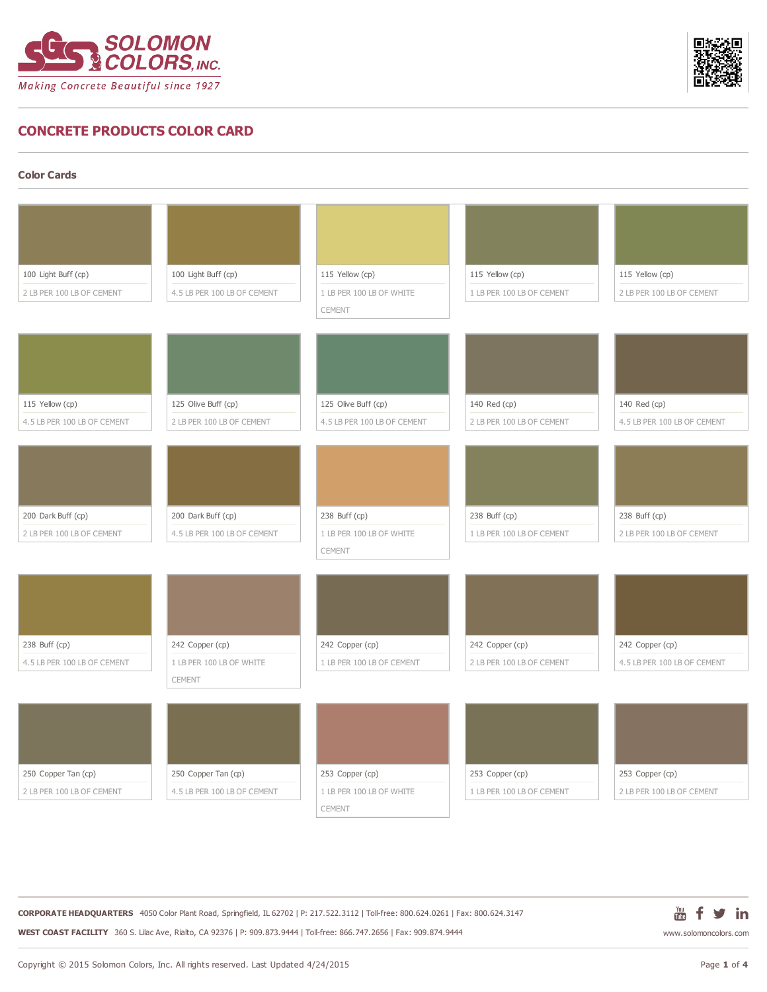



## **CONCRETE PRODUCTS COLOR CARD**

**Color Cards**

| 100 Light Buff (cp)                              | 100 Light Buff (cp)                                | 115 Yellow (cp)                             | 115 Yellow (cp)                              | 115 Yellow (cp)                              |
|--------------------------------------------------|----------------------------------------------------|---------------------------------------------|----------------------------------------------|----------------------------------------------|
| 2 LB PER 100 LB OF CEMENT                        | 4.5 LB PER 100 LB OF CEMENT                        | 1 LB PER 100 LB OF WHITE                    | 1 LB PER 100 LB OF CEMENT                    | 2 LB PER 100 LB OF CEMENT                    |
|                                                  |                                                    | CEMENT                                      |                                              |                                              |
|                                                  |                                                    |                                             |                                              |                                              |
|                                                  |                                                    |                                             |                                              |                                              |
|                                                  |                                                    |                                             |                                              |                                              |
|                                                  |                                                    |                                             |                                              |                                              |
|                                                  |                                                    |                                             |                                              |                                              |
| 115 Yellow (cp)                                  | 125 Olive Buff (cp)                                | 125 Olive Buff (cp)                         | 140 Red (cp)                                 | 140 Red (cp)                                 |
| 4.5 LB PER 100 LB OF CEMENT                      | 2 LB PER 100 LB OF CEMENT                          | 4.5 LB PER 100 LB OF CEMENT                 | 2 LB PER 100 LB OF CEMENT                    | 4.5 LB PER 100 LB OF CEMENT                  |
|                                                  |                                                    |                                             |                                              |                                              |
|                                                  |                                                    |                                             |                                              |                                              |
|                                                  |                                                    |                                             |                                              |                                              |
|                                                  |                                                    |                                             |                                              |                                              |
| 200 Dark Buff (cp)                               | 200 Dark Buff (cp)                                 | 238 Buff (cp)                               | 238 Buff (cp)                                | 238 Buff (cp)                                |
| 2 LB PER 100 LB OF CEMENT                        | 4.5 LB PER 100 LB OF CEMENT                        | 1 LB PER 100 LB OF WHITE                    | 1 LB PER 100 LB OF CEMENT                    | 2 LB PER 100 LB OF CEMENT                    |
|                                                  |                                                    |                                             |                                              |                                              |
|                                                  |                                                    |                                             |                                              |                                              |
|                                                  |                                                    | CEMENT                                      |                                              |                                              |
|                                                  |                                                    |                                             |                                              |                                              |
|                                                  |                                                    |                                             |                                              |                                              |
|                                                  |                                                    |                                             |                                              |                                              |
|                                                  |                                                    |                                             |                                              |                                              |
| 238 Buff (cp)                                    | 242 Copper (cp)                                    | 242 Copper (cp)                             | 242 Copper (cp)                              | 242 Copper (cp)                              |
| 4.5 LB PER 100 LB OF CEMENT                      | 1 LB PER 100 LB OF WHITE                           | 1 LB PER 100 LB OF CEMENT                   | 2 LB PER 100 LB OF CEMENT                    | 4.5 LB PER 100 LB OF CEMENT                  |
|                                                  | CEMENT                                             |                                             |                                              |                                              |
|                                                  |                                                    |                                             |                                              |                                              |
|                                                  |                                                    |                                             |                                              |                                              |
|                                                  |                                                    |                                             |                                              |                                              |
|                                                  |                                                    |                                             |                                              |                                              |
|                                                  |                                                    |                                             |                                              |                                              |
| 250 Copper Tan (cp)<br>2 LB PER 100 LB OF CEMENT | 250 Copper Tan (cp)<br>4.5 LB PER 100 LB OF CEMENT | 253 Copper (cp)<br>1 LB PER 100 LB OF WHITE | 253 Copper (cp)<br>1 LB PER 100 LB OF CEMENT | 253 Copper (cp)<br>2 LB PER 100 LB OF CEMENT |

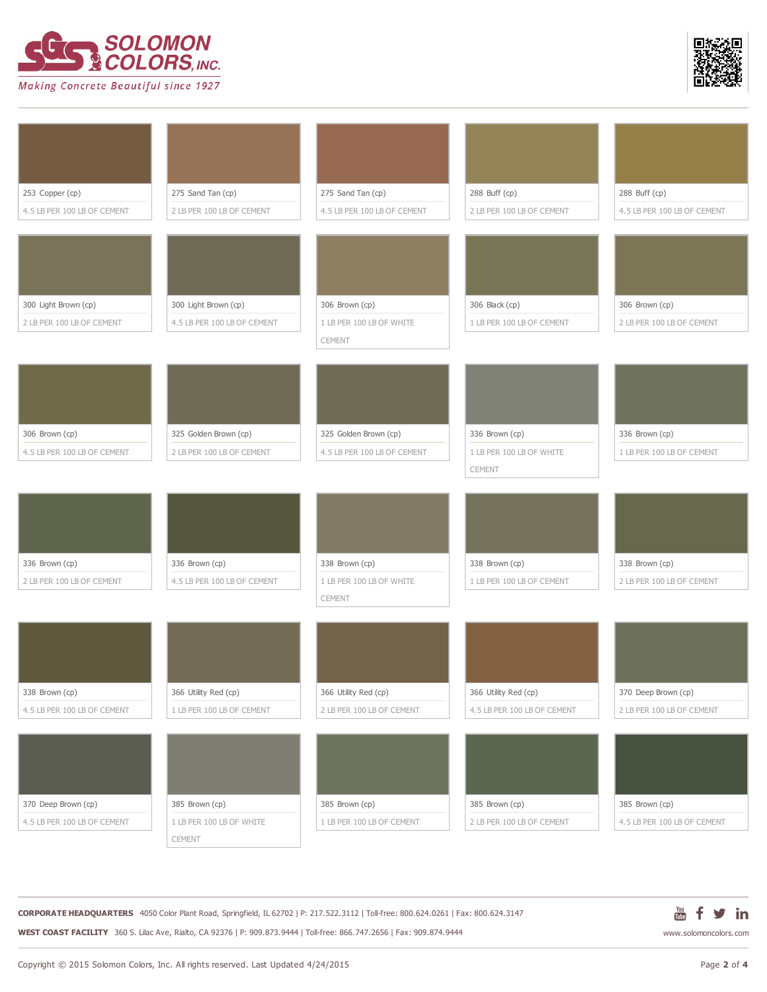



| 253 Copper (cp)             | 275 Sand Tan (cp)           | 275 Sand Tan (cp)           | 288 Buff (cp)               | 288 Buff (cp)               |
|-----------------------------|-----------------------------|-----------------------------|-----------------------------|-----------------------------|
| 4.5 LB PER 100 LB OF CEMENT | 2 LB PER 100 LB OF CEMENT   | 4.5 LB PER 100 LB OF CEMENT | 2 LB PER 100 LB OF CEMENT   | 4.5 LB PER 100 LB OF CEMENT |
|                             |                             |                             |                             |                             |
|                             |                             |                             |                             |                             |
|                             |                             |                             |                             |                             |
|                             |                             |                             |                             |                             |
| 300 Light Brown (cp)        | 300 Light Brown (cp)        | 306 Brown (cp)              | 306 Black (cp)              | 306 Brown (cp)              |
| 2 LB PER 100 LB OF CEMENT   | 4.5 LB PER 100 LB OF CEMENT | 1 LB PER 100 LB OF WHITE    | 1 LB PER 100 LB OF CEMENT   | 2 LB PER 100 LB OF CEMENT   |
|                             |                             | CEMENT                      |                             |                             |
|                             |                             |                             |                             |                             |
|                             |                             |                             |                             |                             |
|                             |                             |                             |                             |                             |
|                             |                             |                             |                             |                             |
|                             |                             |                             |                             |                             |
| 306 Brown (cp)              | 325 Golden Brown (cp)       | 325 Golden Brown (cp)       | 336 Brown (cp)              | 336 Brown (cp)              |
| 4.5 LB PER 100 LB OF CEMENT | 2 LB PER 100 LB OF CEMENT   | 4.5 LB PER 100 LB OF CEMENT | 1 LB PER 100 LB OF WHITE    | 1 LB PER 100 LB OF CEMENT   |
|                             |                             |                             | CEMENT                      |                             |
|                             |                             |                             |                             |                             |
|                             |                             |                             |                             |                             |
|                             |                             |                             |                             |                             |
|                             |                             |                             |                             |                             |
|                             |                             |                             |                             |                             |
| 336 Brown (cp)              | 336 Brown (cp)              | 338 Brown (cp)              | 338 Brown (cp)              | 338 Brown (cp)              |
| 2 LB PER 100 LB OF CEMENT   | 4.5 LB PER 100 LB OF CEMENT | 1 LB PER 100 LB OF WHITE    | 1 LB PER 100 LB OF CEMENT   | 2 LB PER 100 LB OF CEMENT   |
|                             |                             | CEMENT                      |                             |                             |
|                             |                             |                             |                             |                             |
|                             |                             |                             |                             |                             |
|                             |                             |                             |                             |                             |
|                             |                             |                             |                             |                             |
| 338 Brown (cp)              | 366 Utility Red (cp)        | 366 Utility Red (cp)        | 366 Utility Red (cp)        | 370 Deep Brown (cp)         |
| 4.5 LB PER 100 LB OF CEMENT | 1 LB PER 100 LB OF CEMENT   | 2 LB PER 100 LB OF CEMENT   | 4.5 LB PER 100 LB OF CEMENT | 2 LB PER 100 LB OF CEMENT   |
|                             |                             |                             |                             |                             |
|                             |                             |                             |                             |                             |
|                             |                             |                             |                             |                             |
|                             |                             |                             |                             |                             |
|                             |                             |                             |                             |                             |
| 370 Deep Brown (cp)         | 385 Brown (cp)              | 385 Brown (cp)              | 385 Brown (cp)              | 385 Brown (cp)              |
| 4.5 LB PER 100 LB OF CEMENT | 1 LB PER 100 LB OF WHITE    | 1 LB PER 100 LB OF CEMENT   | 2 LB PER 100 LB OF CEMENT   | 4.5 LB PER 100 LB OF CEMENT |
|                             | CEMENT                      |                             |                             |                             |

**CORPORATE HEADQUARTERS** 4050 Color Plant Road, Springfield, IL 62702 | P: 217.522.3112 | Toll-free: 800.624.0261 | Fax: 800.624.3147 **WEST COAST FACILITY** 360 S. Lilac Ave, Rialto, CA 92376 | P: 909.873.9444 | Toll-free: 866.747.2656 | Fax: 909.874.9444

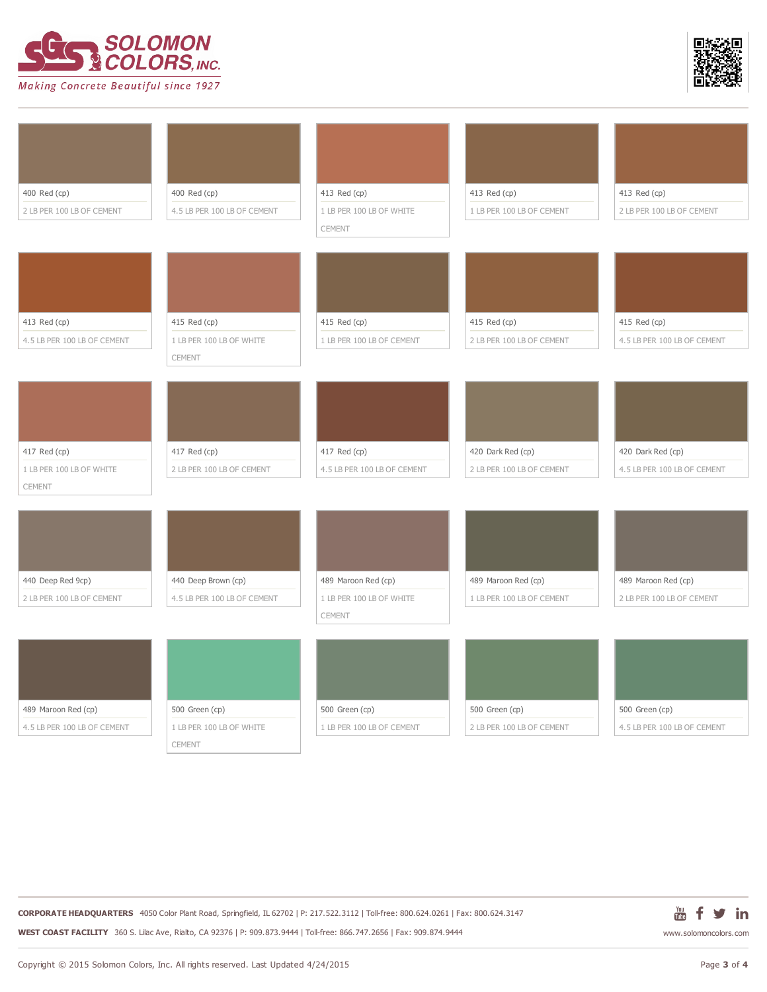



| 400 Red (cp)                | 400 Red (cp)                | 413 Red (cp)                | 413 Red (cp)              | 413 Red (cp)                |
|-----------------------------|-----------------------------|-----------------------------|---------------------------|-----------------------------|
| 2 LB PER 100 LB OF CEMENT   | 4.5 LB PER 100 LB OF CEMENT | 1 LB PER 100 LB OF WHITE    | 1 LB PER 100 LB OF CEMENT | 2 LB PER 100 LB OF CEMENT   |
|                             |                             | CEMENT                      |                           |                             |
|                             |                             |                             |                           |                             |
|                             |                             |                             |                           |                             |
|                             |                             |                             |                           |                             |
|                             |                             |                             |                           |                             |
|                             |                             |                             |                           |                             |
| 413 Red (cp)                | 415 Red (cp)                | 415 Red (cp)                | 415 Red (cp)              | 415 Red (cp)                |
| 4.5 LB PER 100 LB OF CEMENT | 1 LB PER 100 LB OF WHITE    | 1 LB PER 100 LB OF CEMENT   | 2 LB PER 100 LB OF CEMENT | 4.5 LB PER 100 LB OF CEMENT |
|                             | CEMENT                      |                             |                           |                             |
|                             |                             |                             |                           |                             |
|                             |                             |                             |                           |                             |
|                             |                             |                             |                           |                             |
|                             |                             |                             |                           |                             |
|                             |                             |                             |                           |                             |
| 417 Red (cp)                | 417 Red (cp)                | 417 Red (cp)                | 420 Dark Red (cp)         | 420 Dark Red (cp)           |
| 1 LB PER 100 LB OF WHITE    | 2 LB PER 100 LB OF CEMENT   | 4.5 LB PER 100 LB OF CEMENT | 2 LB PER 100 LB OF CEMENT | 4.5 LB PER 100 LB OF CEMENT |
| CEMENT                      |                             |                             |                           |                             |
|                             |                             |                             |                           |                             |
|                             |                             |                             |                           |                             |
|                             |                             |                             |                           |                             |
|                             |                             |                             |                           |                             |
|                             |                             |                             |                           |                             |
| 440 Deep Red 9cp)           | 440 Deep Brown (cp)         | 489 Maroon Red (cp)         | 489 Maroon Red (cp)       | 489 Maroon Red (cp)         |
| 2 LB PER 100 LB OF CEMENT   | 4.5 LB PER 100 LB OF CEMENT | 1 LB PER 100 LB OF WHITE    | 1 LB PER 100 LB OF CEMENT | 2 LB PER 100 LB OF CEMENT   |
|                             |                             | CEMENT                      |                           |                             |
|                             |                             |                             |                           |                             |
|                             |                             |                             |                           |                             |
|                             |                             |                             |                           |                             |
|                             |                             |                             |                           |                             |
|                             |                             |                             |                           |                             |
| 489 Maroon Red (cp)         | 500 Green (cp)              | 500 Green (cp)              | 500 Green (cp)            | 500 Green (cp)              |
| 4.5 LB PER 100 LB OF CEMENT | 1 LB PER 100 LB OF WHITE    | 1 LB PER 100 LB OF CEMENT   | 2 LB PER 100 LB OF CEMENT | 4.5 LB PER 100 LB OF CEMENT |
|                             | CEMENT                      |                             |                           |                             |

**CORPORATE HEADQUARTERS** 4050 Color Plant Road, Springfield, IL 62702 | P: 217.522.3112 | Toll-free: 800.624.0261 | Fax: 800.624.3147 **WEST COAST FACILITY** 360 S. Lilac Ave, Rialto, CA 92376 | P: 909.873.9444 | Toll-free: 866.747.2656 | Fax: 909.874.9444